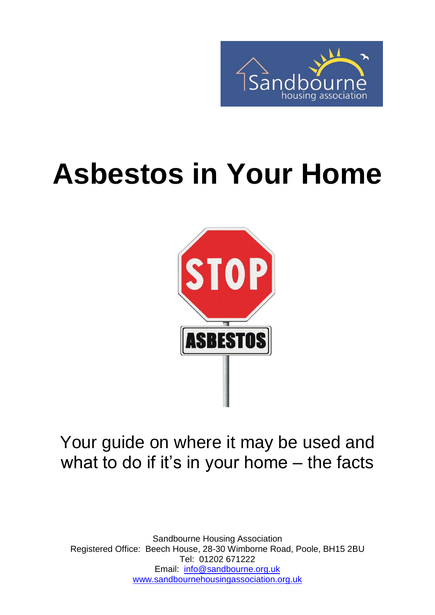

# **Asbestos in Your Home**



### Your guide on where it may be used and what to do if it's in your home – the facts

Sandbourne Housing Association Registered Office: Beech House, 28-30 Wimborne Road, Poole, BH15 2BU Tel: 01202 671222 Email: [info@sandbourne.org.uk](mailto:info@sandbourne.org.uk) [www.sandbournehousingassociation.org.uk](http://www.sandbournehousingassociation.org.uk/)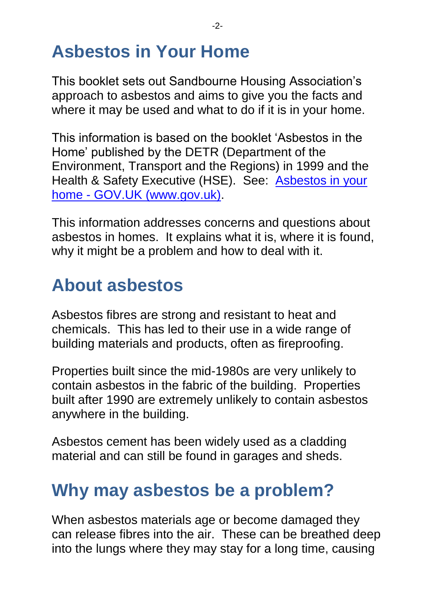# **Asbestos in Your Home**

This booklet sets out Sandbourne Housing Association's approach to asbestos and aims to give you the facts and where it may be used and what to do if it is in your home.

This information is based on the booklet 'Asbestos in the Home' published by the DETR (Department of the Environment, Transport and the Regions) in 1999 and the Health & Safety Executive (HSE). See: [Asbestos in your](https://www.gov.uk/asbestos-in-home)  home - [GOV.UK \(www.gov.uk\).](https://www.gov.uk/asbestos-in-home)

This information addresses concerns and questions about asbestos in homes. It explains what it is, where it is found, why it might be a problem and how to deal with it.

# **About asbestos**

Asbestos fibres are strong and resistant to heat and chemicals. This has led to their use in a wide range of building materials and products, often as fireproofing.

Properties built since the mid-1980s are very unlikely to contain asbestos in the fabric of the building. Properties built after 1990 are extremely unlikely to contain asbestos anywhere in the building.

Asbestos cement has been widely used as a cladding material and can still be found in garages and sheds.

### **Why may asbestos be a problem?**

When asbestos materials age or become damaged they can release fibres into the air. These can be breathed deep into the lungs where they may stay for a long time, causing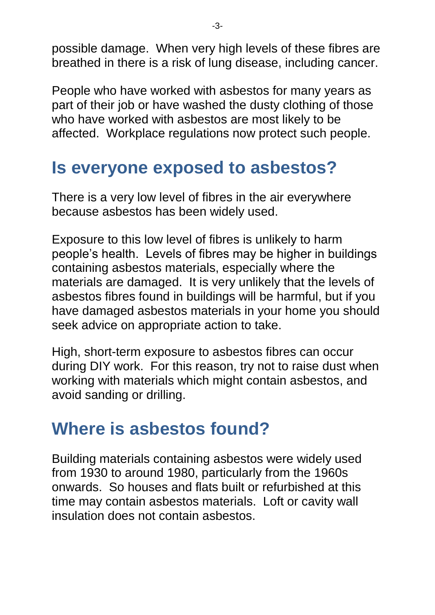possible damage. When very high levels of these fibres are breathed in there is a risk of lung disease, including cancer.

People who have worked with asbestos for many years as part of their job or have washed the dusty clothing of those who have worked with asbestos are most likely to be affected. Workplace regulations now protect such people.

### **Is everyone exposed to asbestos?**

There is a very low level of fibres in the air everywhere because asbestos has been widely used.

Exposure to this low level of fibres is unlikely to harm people's health. Levels of fibres may be higher in buildings containing asbestos materials, especially where the materials are damaged. It is very unlikely that the levels of asbestos fibres found in buildings will be harmful, but if you have damaged asbestos materials in your home you should seek advice on appropriate action to take.

High, short-term exposure to asbestos fibres can occur during DIY work. For this reason, try not to raise dust when working with materials which might contain asbestos, and avoid sanding or drilling.

### **Where is asbestos found?**

Building materials containing asbestos were widely used from 1930 to around 1980, particularly from the 1960s onwards. So houses and flats built or refurbished at this time may contain asbestos materials. Loft or cavity wall insulation does not contain asbestos.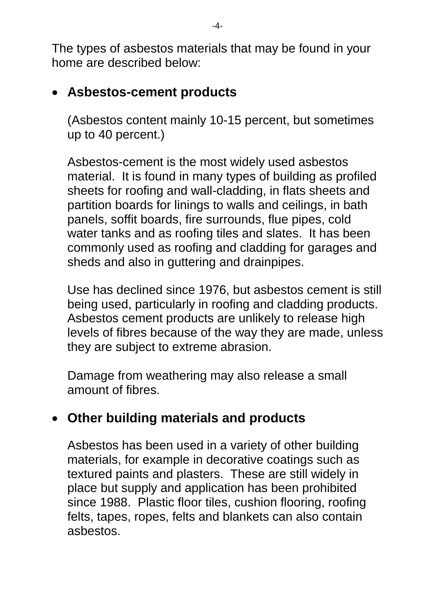The types of asbestos materials that may be found in your home are described below:

#### **Asbestos-cement products**

(Asbestos content mainly 10-15 percent, but sometimes up to 40 percent.)

Asbestos-cement is the most widely used asbestos material. It is found in many types of building as profiled sheets for roofing and wall-cladding, in flats sheets and partition boards for linings to walls and ceilings, in bath panels, soffit boards, fire surrounds, flue pipes, cold water tanks and as roofing tiles and slates. It has been commonly used as roofing and cladding for garages and sheds and also in guttering and drainpipes.

Use has declined since 1976, but asbestos cement is still being used, particularly in roofing and cladding products. Asbestos cement products are unlikely to release high levels of fibres because of the way they are made, unless they are subject to extreme abrasion.

Damage from weathering may also release a small amount of fibres.

#### **Other building materials and products**

Asbestos has been used in a variety of other building materials, for example in decorative coatings such as textured paints and plasters. These are still widely in place but supply and application has been prohibited since 1988. Plastic floor tiles, cushion flooring, roofing felts, tapes, ropes, felts and blankets can also contain asbestos.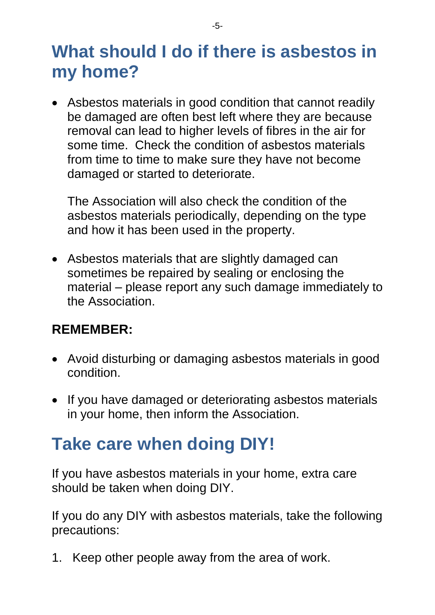### **What should I do if there is asbestos in my home?**

 Asbestos materials in good condition that cannot readily be damaged are often best left where they are because removal can lead to higher levels of fibres in the air for some time. Check the condition of asbestos materials from time to time to make sure they have not become damaged or started to deteriorate.

The Association will also check the condition of the asbestos materials periodically, depending on the type and how it has been used in the property.

 Asbestos materials that are slightly damaged can sometimes be repaired by sealing or enclosing the material – please report any such damage immediately to the Association.

#### **REMEMBER:**

- Avoid disturbing or damaging asbestos materials in good condition.
- If you have damaged or deteriorating asbestos materials in your home, then inform the Association.

# **Take care when doing DIY!**

If you have asbestos materials in your home, extra care should be taken when doing DIY.

If you do any DIY with asbestos materials, take the following precautions:

1. Keep other people away from the area of work.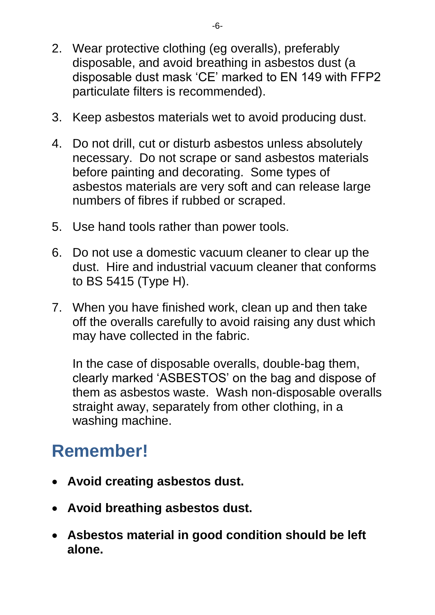- 2. Wear protective clothing (eg overalls), preferably disposable, and avoid breathing in asbestos dust (a disposable dust mask 'CE' marked to EN 149 with FFP2 particulate filters is recommended).
- 3. Keep asbestos materials wet to avoid producing dust.
- 4. Do not drill, cut or disturb asbestos unless absolutely necessary. Do not scrape or sand asbestos materials before painting and decorating. Some types of asbestos materials are very soft and can release large numbers of fibres if rubbed or scraped.
- 5. Use hand tools rather than power tools.
- 6. Do not use a domestic vacuum cleaner to clear up the dust. Hire and industrial vacuum cleaner that conforms to BS 5415 (Type H).
- 7. When you have finished work, clean up and then take off the overalls carefully to avoid raising any dust which may have collected in the fabric.

In the case of disposable overalls, double-bag them, clearly marked 'ASBESTOS' on the bag and dispose of them as asbestos waste. Wash non-disposable overalls straight away, separately from other clothing, in a washing machine.

# **Remember!**

- **Avoid creating asbestos dust.**
- **Avoid breathing asbestos dust.**
- **Asbestos material in good condition should be left alone.**